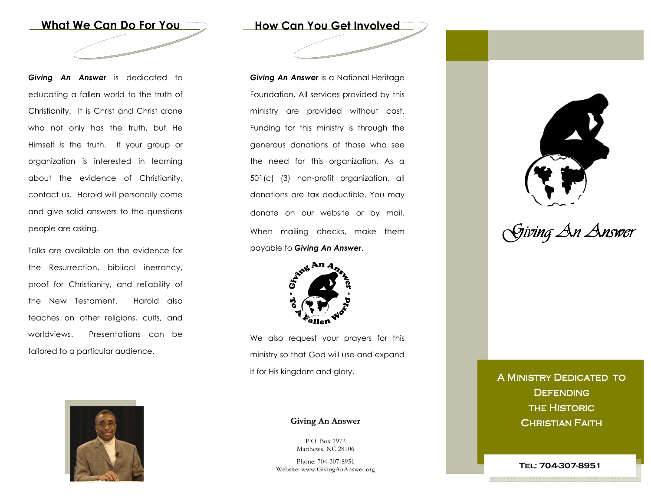

Giving An Answer is dedicated to educating a fallen world to the truth of Christianity. It is Christ and Christ alone who not only has the truth, but He Himself is the truth. If your group or organization is interested in learning about the evidence of Christianity, contact us. Harold will personally come and give solid answers to the questions people are asking.

Talks are available on the evidence for the Resurrection, biblical inerrancy, proof for Christianity, and reliability of the New Testament. Harold also teaches on other religions, cults, and worldviews. Presentations can be tailored to a particular audience.



How Can You Get Involved

**Giving An Answer** is a National Heritage Foundation. All services provided by this ministry are provided without cost. Funding for this ministry is through the generous donations of those who see the need for this organization. As a 501(c) (3) non-profit organization, all donations are tax deductible. You may donate on our website or by mail. When mailing checks, make them payable to Giving An Answer.



We also request your prayers for this ministry so that God will use and expand it for His kingdom and glory.

#### Giving An Answer

P.O. Box 1972 Matthews, NC 28106

Phone: 704-307-8951 Website: www.GivingAnAnswer.org



Giving An Answer

A MINISTRY DEDICATED TO **DEFENDING THE HISTORIC CHRISTIAN FAITH** 

Tel: 704-307-8951